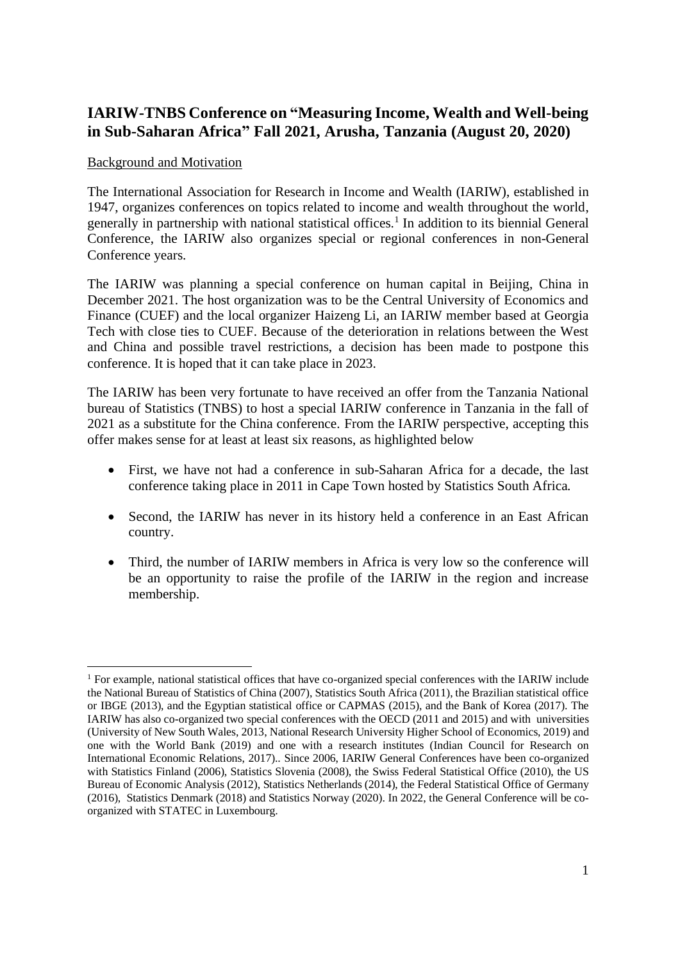# **IARIW-TNBS Conference on "Measuring Income, Wealth and Well-being in Sub-Saharan Africa" Fall 2021, Arusha, Tanzania (August 20, 2020)**

### Background and Motivation

The International Association for Research in Income and Wealth (IARIW), established in 1947, organizes conferences on topics related to income and wealth throughout the world, generally in partnership with national statistical offices.<sup>1</sup> In addition to its biennial General Conference, the IARIW also organizes special or regional conferences in non-General Conference years.

The IARIW was planning a special conference on human capital in Beijing, China in December 2021. The host organization was to be the Central University of Economics and Finance (CUEF) and the local organizer Haizeng Li, an IARIW member based at Georgia Tech with close ties to CUEF. Because of the deterioration in relations between the West and China and possible travel restrictions, a decision has been made to postpone this conference. It is hoped that it can take place in 2023.

The IARIW has been very fortunate to have received an offer from the Tanzania National bureau of Statistics (TNBS) to host a special IARIW conference in Tanzania in the fall of 2021 as a substitute for the China conference. From the IARIW perspective, accepting this offer makes sense for at least at least six reasons, as highlighted below

- First, we have not had a conference in sub-Saharan Africa for a decade, the last conference taking place in 2011 in Cape Town hosted by Statistics South Africa.
- Second, the IARIW has never in its history held a conference in an East African country.
- Third, the number of IARIW members in Africa is very low so the conference will be an opportunity to raise the profile of the IARIW in the region and increase membership.

<sup>&</sup>lt;sup>1</sup> For example, national statistical offices that have co-organized special conferences with the IARIW include the National Bureau of Statistics of China (2007), Statistics South Africa (2011), the Brazilian statistical office or IBGE (2013), and the Egyptian statistical office or CAPMAS (2015), and the Bank of Korea (2017). The IARIW has also co-organized two special conferences with the OECD (2011 and 2015) and with universities (University of New South Wales, 2013, National Research University Higher School of Economics, 2019) and one with the World Bank (2019) and one with a research institutes (Indian Council for Research on International Economic Relations, 2017).. Since 2006, IARIW General Conferences have been co-organized with Statistics Finland (2006), Statistics Slovenia (2008), the Swiss Federal Statistical Office (2010), the US Bureau of Economic Analysis (2012), Statistics Netherlands (2014), the Federal Statistical Office of Germany (2016), Statistics Denmark (2018) and Statistics Norway (2020). In 2022, the General Conference will be coorganized with STATEC in Luxembourg.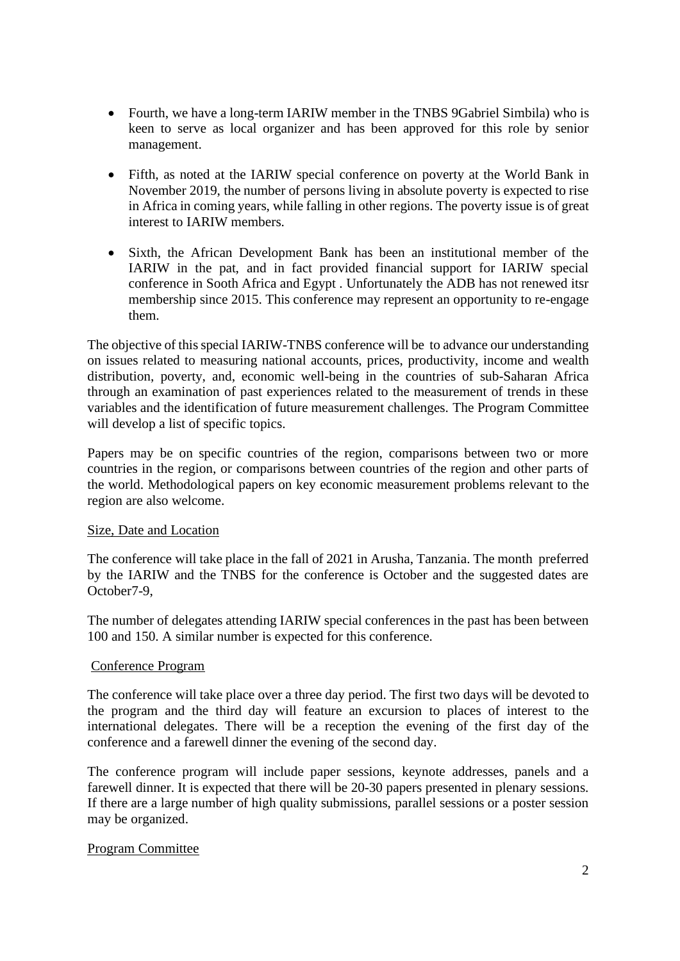- Fourth, we have a long-term IARIW member in the TNBS 9Gabriel Simbila) who is keen to serve as local organizer and has been approved for this role by senior management.
- Fifth, as noted at the IARIW special conference on poverty at the World Bank in November 2019, the number of persons living in absolute poverty is expected to rise in Africa in coming years, while falling in other regions. The poverty issue is of great interest to IARIW members.
- Sixth, the African Development Bank has been an institutional member of the IARIW in the pat, and in fact provided financial support for IARIW special conference in Sooth Africa and Egypt . Unfortunately the ADB has not renewed itsr membership since 2015. This conference may represent an opportunity to re-engage them.

The objective of this special IARIW-TNBS conference will be to advance our understanding on issues related to measuring national accounts, prices, productivity, income and wealth distribution, poverty, and, economic well-being in the countries of sub-Saharan Africa through an examination of past experiences related to the measurement of trends in these variables and the identification of future measurement challenges. The Program Committee will develop a list of specific topics.

Papers may be on specific countries of the region, comparisons between two or more countries in the region, or comparisons between countries of the region and other parts of the world. Methodological papers on key economic measurement problems relevant to the region are also welcome.

#### Size, Date and Location

The conference will take place in the fall of 2021 in Arusha, Tanzania. The month preferred by the IARIW and the TNBS for the conference is October and the suggested dates are October7-9,

The number of delegates attending IARIW special conferences in the past has been between 100 and 150. A similar number is expected for this conference.

#### Conference Program

The conference will take place over a three day period. The first two days will be devoted to the program and the third day will feature an excursion to places of interest to the international delegates. There will be a reception the evening of the first day of the conference and a farewell dinner the evening of the second day.

The conference program will include paper sessions, keynote addresses, panels and a farewell dinner. It is expected that there will be 20-30 papers presented in plenary sessions. If there are a large number of high quality submissions, parallel sessions or a poster session may be organized.

## Program Committee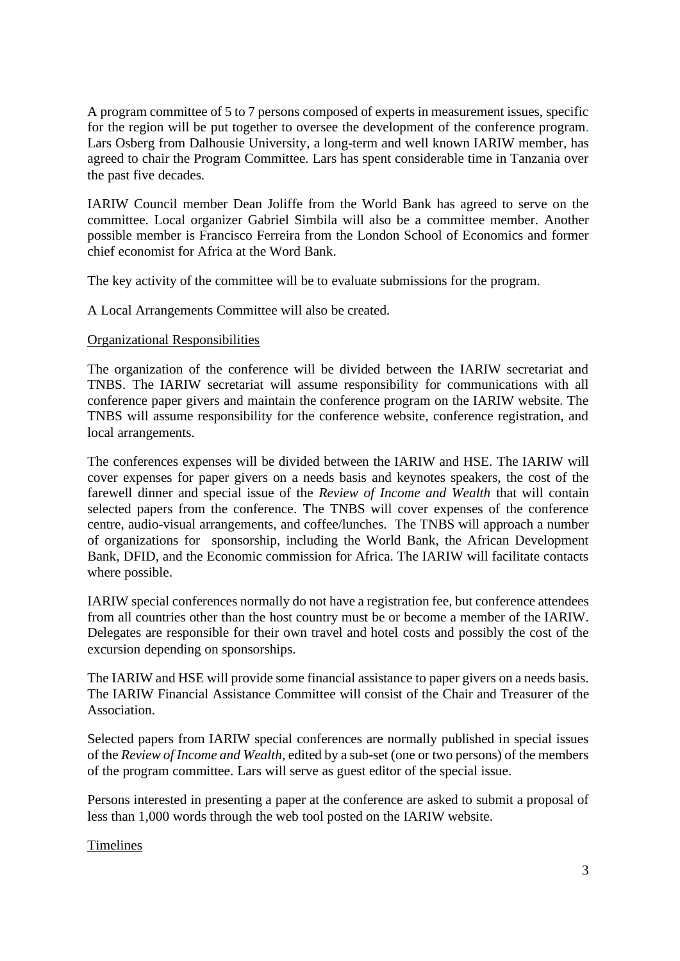A program committee of 5 to 7 persons composed of experts in measurement issues, specific for the region will be put together to oversee the development of the conference program. Lars Osberg from Dalhousie University, a long-term and well known IARIW member, has agreed to chair the Program Committee. Lars has spent considerable time in Tanzania over the past five decades.

IARIW Council member Dean Joliffe from the World Bank has agreed to serve on the committee. Local organizer Gabriel Simbila will also be a committee member. Another possible member is Francisco Ferreira from the London School of Economics and former chief economist for Africa at the Word Bank.

The key activity of the committee will be to evaluate submissions for the program.

A Local Arrangements Committee will also be created.

#### Organizational Responsibilities

The organization of the conference will be divided between the IARIW secretariat and TNBS. The IARIW secretariat will assume responsibility for communications with all conference paper givers and maintain the conference program on the IARIW website. The TNBS will assume responsibility for the conference website, conference registration, and local arrangements.

The conferences expenses will be divided between the IARIW and HSE. The IARIW will cover expenses for paper givers on a needs basis and keynotes speakers, the cost of the farewell dinner and special issue of the *Review of Income and Wealth* that will contain selected papers from the conference. The TNBS will cover expenses of the conference centre, audio-visual arrangements, and coffee/lunches. The TNBS will approach a number of organizations for sponsorship, including the World Bank, the African Development Bank, DFID, and the Economic commission for Africa. The IARIW will facilitate contacts where possible.

IARIW special conferences normally do not have a registration fee, but conference attendees from all countries other than the host country must be or become a member of the IARIW. Delegates are responsible for their own travel and hotel costs and possibly the cost of the excursion depending on sponsorships.

The IARIW and HSE will provide some financial assistance to paper givers on a needs basis. The IARIW Financial Assistance Committee will consist of the Chair and Treasurer of the Association.

Selected papers from IARIW special conferences are normally published in special issues of the *Review of Income and Wealth*, edited by a sub-set (one or two persons) of the members of the program committee. Lars will serve as guest editor of the special issue.

Persons interested in presenting a paper at the conference are asked to submit a proposal of less than 1,000 words through the web tool posted on the IARIW website.

#### Timelines